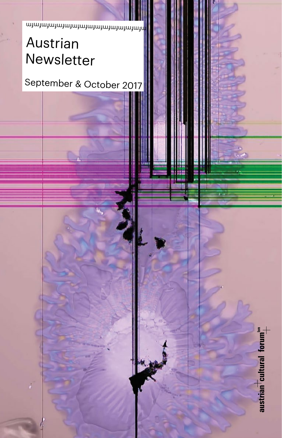mfmfmfmfmfmfmfmfmfmfmfmfmfmfmfm

## Austrian Newsletter

September & October 2017

austrian cultural forum"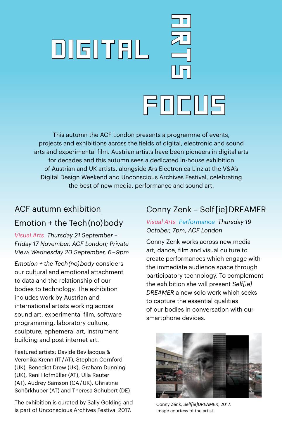# **DIGITAL**  $\zeta \Box$ FOcus

This autumn the ACF London presents a programme of events, projects and exhibitions across the fields of digital, electronic and sound arts and experimental film. Austrian artists have been pioneers in digital arts for decades and this autumn sees a dedicated in-house exhibition of Austrian and UK artists, alongside Ars Electronica Linz at the V&A's Digital Design Weekend and Unconscious Archives Festival, celebrating the best of new media, performance and sound art.

## ACF autumn exhibition Emotion + the Tech (no) body

*Visual Arts Thursday 21 September – Friday 17 November, ACF London; Private View: Wednesday 20 September, 6 – 9pm*

*Emotion + the Tech (no) body* considers our cultural and emotional attachment to data and the relationship of our bodies to technology. The exhibition includes work by Austrian and international artists working across sound art, experimental film, software programming, laboratory culture, sculpture, ephemeral art, instrument building and post internet art.

Featured artists: Davide Bevilacqua & Veronika Krenn (IT / AT), Stephen Cornford (UK), Benedict Drew (UK), Graham Dunning (UK), Reni Hofmüller (AT), Ulla Rauter (AT), Audrey Samson (CA / UK), Christine Schörkhuber (AT) and Theresa Schubert (DE)

The exhibition is curated by Sally Golding and is part of Unconscious Archives Festival 2017.

## Conny Zenk – Self [ie] DREAMER

*Visual Arts Performance Thursday 19 October, 7pm, ACF London*

Conny Zenk works across new media art, dance, film and visual culture to create performances which engage with the immediate audience space through participatory technology. To complement the exhibition she will present *Self[ie] DREAMER* a new solo work which seeks to capture the essential qualities of our bodies in conversation with our smartphone devices.



Conny Zenk, *Self[ie]DREAMER*, 2017, image courtesy of the artist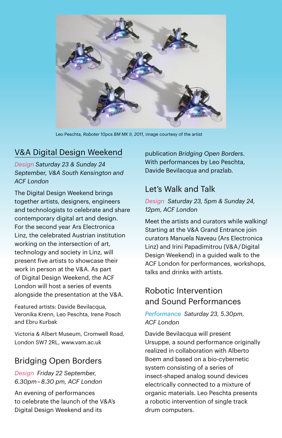

Leo Peschta, *Roboter 10pcs BM MK II, 2011*, image courtesy of the artist

#### V&A Digital Design Weekend

*Design Saturday 23 & Sunday 24 September, V&A South Kensington and ACF London*

The Digital Design Weekend brings together artists, designers, engineers and technologists to celebrate and share contemporary digital art and design. For the second year Ars Electronica Linz, the celebrated Austrian institution working on the intersection of art, technology and society in Linz, will present five artists to showcase their work in person at the V&A. As part of Digital Design Weekend, the ACF London will host a series of events alongside the presentation at the V&A.

Featured artists: Davide Bevilacqua, Veronika Krenn, Leo Peschta, Irene Posch and Ebru Kurbak

Victoria & Albert Museum, Cromwell Road, London SW7 2RL, [www.vam.ac.uk](http://www.vam.ac.uk)

#### Bridging Open Borders

*Design Friday 22 September, 6.30pm – 8.30 pm, ACF London*

An evening of performances to celebrate the launch of the V&A's Digital Design Weekend and its

publication *Bridging Open Borders*. With performances by Leo Peschta, Davide Bevilacqua and prazlab.

#### Let's Walk and Talk

*Design Saturday 23, 5pm & Sunday 24, 12pm, ACF London*

Meet the artists and curators while walking! Starting at the V&A Grand Entrance join curators Manuela Naveau (Ars Electronica Linz) and Irini Papadimitrou (V&A / Digital Design Weekend) in a guided walk to the ACF London for performances, workshops, talks and drinks with artists.

#### Robotic Intervention and Sound Performances

*Performance Saturday 23, 5.30pm, ACF London*

Davide Bevilacqua will present Ursuppe, a sound performance originally realized in collaboration with Alberto Boem and based on a bio-cybernetic system consisting of a series of insect-shaped analog sound devices electrically connected to a mixture of organic materials. Leo Peschta presents a robotic intervention of single track drum computers.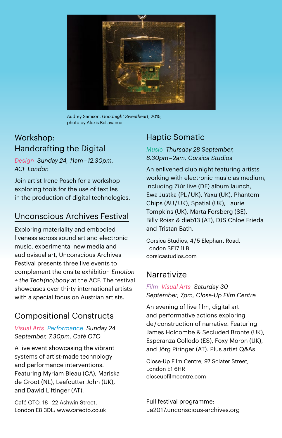

Audrey Samson, *Goodnight Sweetheart*, 2015, photo by Alexis Bellavance

#### Workshop: Handcrafting the Digital

*Design Sunday 24, 11am – 12.30pm, ACF London*

Join artist Irene Posch for a workshop exploring tools for the use of textiles in the production of digital technologies.

#### Unconscious Archives Festival

Exploring materiality and embodied liveness across sound art and electronic music, experimental new media and audiovisual art, Unconscious Archives Festival presents three live events to complement the onsite exhibition *Emotion + the Tech (no) body* at the ACF. The festival showcases over thirty international artists with a special focus on Austrian artists.

#### Compositional Constructs

#### *Visual Arts Performance Sunday 24 September, 7.30pm, Café OTO*

A live event showcasing the vibrant systems of artist-made technology and performance interventions. Featuring Myriam Bleau (CA), Mariska de Groot (NL), Leafcutter John (UK), and Dawid Liftinger (AT).

Café OTO, 18-22 Ashwin Street, London E8 3DL; [www.cafeoto.co.uk](http://www.cafeoto.co.uk)

#### Haptic Somatic

*Music Thursday 28 September, 8.30pm – 2am, Corsica Studios*

An enlivened club night featuring artists working with electronic music as medium, including Ziúr live (DE) album launch, Ewa Justka (PL / UK), Yaxu (UK), Phantom Chips (AU / UK), Spatial (UK), Laurie Tompkins (UK), Marta Forsberg (SE), Billy Roisz & dieb13 (AT), DJS Chloe Frieda and Tristan Bath.

Corsica Studios, 4 / 5 Elephant Road, London SE17 1LB [corsicastudios.com](http://www.corsicastudios.com)

#### **Narrativize**

*Film Visual Arts Saturday 30 September, 7pm, Close-Up Film Centre*

An evening of live film, digital art and performative actions exploring de / construction of narrative. Featuring James Holcombe & Secluded Bronte (UK), Esperanza Collodo (ES), Foxy Moron (UK), and Jörg Piringer (AT). Plus artist Q&As.

Close-Up Film Centre, 97 Sclater Street, London E1 6HR [closeupfilmcentre.com](http://www.closeupfilmcentre.com)

Full festival programme: [ua2017.unconscious-archives.org](http://ua2017.unconscious-archives.org)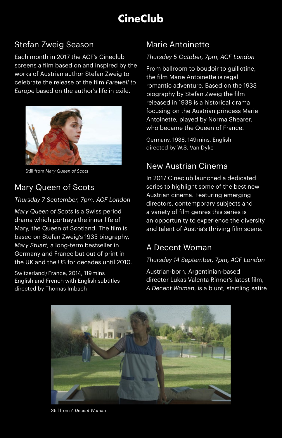## **CineClub**

#### Stefan Zweig Season

Each month in 2017 the ACF's Cineclub screens a film based on and inspired by the works of Austrian author Stefan Zweig to celebrate the release of the film *Farewell to Europe* based on the author's life in exile.



Still from *Mary Queen of Scots*

## Mary Queen of Scots

#### *Thursday 7 September, 7pm, ACF London*

*Mary Queen of Scots* is a Swiss period drama which portrays the inner life of Mary, the Queen of Scotland. The film is based on Stefan Zweig's 1935 biography, *Mary Stuart*, a long-term bestseller in Germany and France but out of print in the UK and the US for decades until 2010.

Switzerland / France, 2014, 119 mins English and French with English subtitles directed by Thomas Imbach

#### Marie Antoinette

#### *Thursday 5 October, 7pm, ACF London*

From ballroom to boudoir to guillotine, the film Marie Antoinette is regal romantic adventure. Based on the 1933 biography by Stefan Zweig the film released in 1938 is a historical drama focusing on the Austrian princess Marie Antoinette, played by Norma Shearer, who became the Queen of France.

Germany, 1938, 149 mins, English directed by W.S. Van Dyke

#### New Austrian Cinema

In 2017 Cineclub launched a dedicated series to highlight some of the best new Austrian cinema. Featuring emerging directors, contemporary subjects and a variety of film genres this series is an opportunity to experience the diversity and talent of Austria's thriving film scene.

#### A Decent Woman

#### *Thursday 14 September, 7pm, ACF London*

Austrian-born, Argentinian-based director Lukas Valenta Rinner's latest film, *A Decent Woman*, is a blunt, startling satire



Still from *A Decent Woman*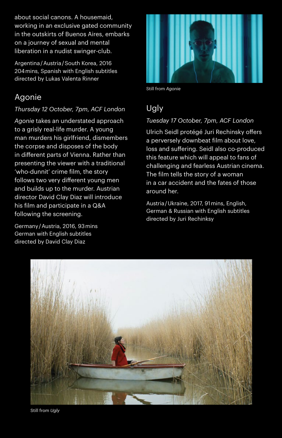about social canons. A housemaid, working in an exclusive gated community in the outskirts of Buenos Aires, embarks on a journey of sexual and mental liberation in a nudist swinger-club.

Argentina / Austria / South Korea, 2016 204 mins, Spanish with English subtitles directed by Lukas Valenta Rinner

#### Agonie

#### *Thursday 12 October, 7pm, ACF London*

*Agonie* takes an understated approach to a grisly real-life murder. A young man murders his girlfriend, dismembers the corpse and disposes of the body in different parts of Vienna. Rather than presenting the viewer with a traditional 'who-dunnit' crime film, the story follows two very different young men and builds up to the murder. Austrian director David Clay Diaz will introduce his film and participate in a Q&A following the screening.

Germany / Austria, 2016, 93 mins German with English subtitles directed by David Clay Diaz



Still from *Agonie*

#### **Ugly**

#### *Tuesday 17 October, 7pm, ACF London*

Ulrich Seidl protégé Juri Rechinsky offers a perversely downbeat film about love, loss and suffering. Seidl also co-produced this feature which will appeal to fans of challenging and fearless Austrian cinema. The film tells the story of a woman in a car accident and the fates of those around her.

Austria / Ukraine, 2017, 91 mins, English, German & Russian with English subtitles directed by Juri Rechinksy



Still from *Ugly*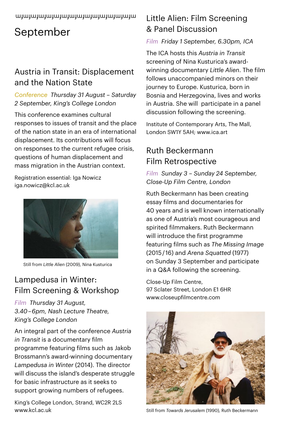#### mfmfmfmfmfmfmfmfmfmfmfmfmfmfmfm

## September

## Austria in Transit: Displacement and the Nation State

*Conference Thursday 31 August – Saturday 2 September, King's College London*

This conference examines cultural responses to issues of transit and the place of the nation state in an era of international displacement. Its contributions will focus on responses to the current refugee crisis, questions of human displacement and mass migration in the Austrian context.

Registration essential: Iga Nowicz [iga.nowicz@kcl.ac.uk](mailto:iga.nowicz@kcl.ac.uk)



Still from *Little Alien* (2009), Nina Kusturica

## Lampedusa in Winter: Film Screening & Workshop

*Film Thursday 31 August, 3.40 – 6pm, Nash Lecture Theatre, King's College London* 

An integral part of the conference *Austria in Transit* is a documentary film programme featuring films such as Jakob Brossmann's award-winning documentary *Lampedusa in Winter* (2014). The director will discuss the island's desperate struggle for basic infrastructure as it seeks to support growing numbers of refugees.

King's College London, Strand, WC2R 2LS www.kcl.ac.uk

#### Little Alien: Film Screening & Panel Discussion

#### *Film Friday 1 September, 6.30pm, ICA*

The ICA hosts this *Austria in Transit*  screening of Nina Kusturica's awardwinning documentary *Little Alien*. The film follows unaccompanied minors on their journey to Europe. Kusturica, born in Bosnia and Herzegovina, lives and works in Austria. She will participate in a panel discussion following the screening.

Institute of Contemporary Arts, The Mall, London SW1Y 5AH; [www.ica.art](http://www.ica.art)

## Ruth Beckermann Film Retrospective

#### *Film Sunday 3 – Sunday 24 September, Close-Up Film Centre, London*

Ruth Beckermann has been creating essay films and documentaries for 40 years and is well known internationally as one of Austria's most courageous and spirited filmmakers. Ruth Beckermann will introduce the first programme featuring films such as *The Missing Image* (2015 / 16) and *Arena Squatted* (1977) on Sunday 3 September and participate in a Q&A following the screening.

Close-Up Film Centre, 97 Sclater Street, London E1 6HR [www.closeupfilmcentre.com](http://www.closeupfilmcentre.com)



Still from *Towards Jerusalem* (1990), Ruth Beckermann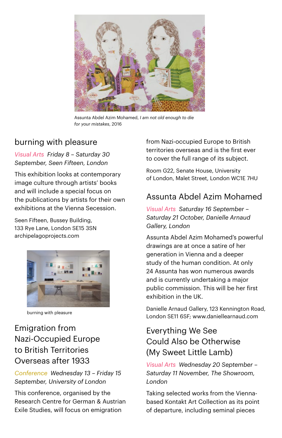

Assunta Abdel Azim Mohamed, *I am not old enough to die for your mistakes*, 2016

#### burning with pleasure

*Visual Arts Friday 8 – Saturday 30 September, Seen Fifteen, London*

This exhibition looks at contemporary image culture through artists' books and will include a special focus on the publications by artists for their own exhibitions at the Vienna Secession.

Seen Fifteen, Bussey Building, 133 Rye Lane, London SE15 3SN [archipelagoprojects.com](http://www.archipelagoprojects.com) 



burning with pleasure

#### Emigration from Nazi-Occupied Europe to British Territories Overseas after 1933

*Conference Wednesday 13 – Friday 15 September, University of London*

This conference, organised by the Research Centre for German & Austrian Exile Studies, will focus on emigration

from Nazi-occupied Europe to British territories overseas and is the first ever to cover the full range of its subject.

Room G22, Senate House, University of London, Malet Street, London WC1E 7HU

#### Assunta Abdel Azim Mohamed

*Visual Arts Saturday 16 September – Saturday 21 October, Danielle Arnaud Gallery, London*

Assunta Abdel Azim Mohamed's powerful drawings are at once a satire of her generation in Vienna and a deeper study of the human condition. At only 24 Assunta has won numerous awards and is currently undertaking a major public commission. This will be her first exhibition in the UK.

Danielle Arnaud Gallery, 123 Kennington Road, London SE11 6SF; [www.daniellearnaud.com](http://www.daniellearnaud.com)

#### Everything We See Could Also be Otherwise (My Sweet Little Lamb)

*Visual Arts Wednesday 20 September – Saturday 11 November, The Showroom, London*

Taking selected works from the Viennabased Kontakt Art Collection as its point of departure, including seminal pieces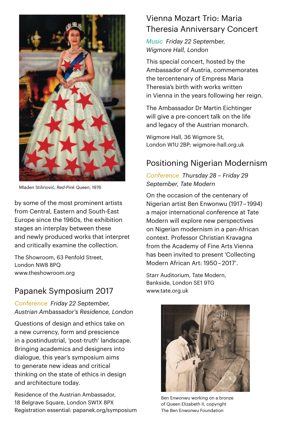

Mladen Stilinović, *Red-Pink Queen*, 1976

by some of the most prominent artists from Central, Eastern and South-East Europe since the 1960s, the exhibition stages an interplay between these and newly produced works that interpret and critically examine the collection.

The Showroom, 63 Penfold Street, London NW8 8PQ [www.theshowroom.org](http://www.theshowroom.org)

## Papanek Symposium 2017

*Conference Friday 22 September, Austrian Ambassador's Residence, London*

Questions of design and ethics take on a new currency, form and prescience in a postindustrial, 'post-truth' landscape. Bringing academics and designers into dialogue, this year's symposium aims to generate new ideas and critical thinking on the state of ethics in design and architecture today.

Residence of the Austrian Ambassador, 18 Belgrave Square, London SW1X 8PX Registration essential: [papanek.org/symposium](http://papanek.org/symposium/)

#### Vienna Mozart Trio: Maria Theresia Anniversary Concert

*Music Friday 22 September, Wigmore Hall, London*

This special concert, hosted by the Ambassador of Austria, commemorates the tercentenary of Empress Maria Theresia's birth with works written in Vienna in the years following her reign.

The Ambassador Dr Martin Eichtinger will give a pre-concert talk on the life and legacy of the Austrian monarch.

Wigmore Hall, 36 Wigmore St, London W1U 2BP; wigmore-hall.org.uk

## Positioning Nigerian Modernism

*Conference Thursday 28 – Friday 29 September, Tate Modern*

On the occasion of the centenary of Nigerian artist Ben Enwonwu (1917 – 1994) a major international conference at Tate Modern will explore new perspectives on Nigerian modernism in a pan-African context. Professor Christian Kravagna from the Academy of Fine Arts Vienna has been invited to present 'Collecting Modern African Art: 1950 – 2017'.

Starr Auditorium, Tate Modern, Bankside, London SE1 9TG [www.tate.org.uk](http://www.tate.org.uk)



Ben Enwonwu working on a bronze of Queen Elizabeth II, copyright The Ben Enwonwu Foundation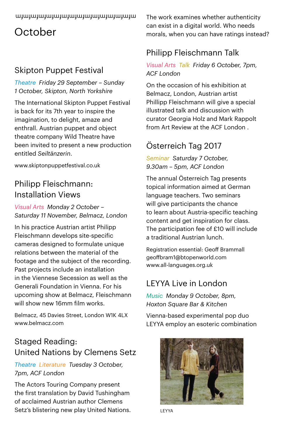#### mfmfmfmfmfmfmfmfmfmfmfmfmfmfmfm

## October

## Skipton Puppet Festival

#### *Theatre Friday 29 September – Sunday 1 October, Skipton, North Yorkshire*

The International Skipton Puppet Festival is back for its 7th year to inspire the imagination, to delight, amaze and enthrall. Austrian puppet and object theatre company Wild Theatre have been invited to present a new production entitled *Seiltänzerin*.

[www.skiptonpuppetfestival.co.uk](http://www.skiptonpuppetfestival.co.uk)

#### Philipp Fleischmann: Installation Views

*Visual Arts Monday 2 October – Saturday 11 November, Belmacz, London*

In his practice Austrian artist Philipp Fleischmann develops site-specific cameras designed to formulate unique relations between the material of the footage and the subject of the recording. Past projects include an installation in the Viennese Secession as well as the Generali Foundation in Vienna. For his upcoming show at Belmacz, Fleischmann will show new 16mm film works.

Belmacz, 45 Davies Street, London W1K 4LX www.belmacz.com

## Staged Reading: United Nations by Clemens Setz

#### *Theatre Literature Tuesday 3 October, 7pm, ACF London*

The Actors Touring Company present the first translation by David Tushingham of acclaimed Austrian author Clemens Setz's blistering new play United Nations. The work examines whether authenticity can exist in a digital world. Who needs morals, when you can have ratings instead?

## Philipp Fleischmann Talk

#### *Visual Arts Talk Friday 6 October, 7pm, ACF London*

On the occasion of his exhibition at Belmacz, London, Austrian artist Phillipp Fleischmann will give a special illustrated talk and discussion with curator Georgia Holz and Mark Rappolt from Art Review at the ACF London

## Österreich Tag 2017

*Seminar Saturday 7 October, 9.30am – 5pm, ACF London*

The annual Österreich Tag presents topical information aimed at German language teachers. Two seminars will give participants the chance to learn about Austria-specific teaching content and get inspiration for class. The participation fee of £10 will include a traditional Austrian lunch.

Registration essential: Geoff Brammall geoffbram1@btopenworld.com www.all-languages.org.uk

## LEYYA Live in London

*Music Monday 9 October, 8pm, Hoxton Square Bar & Kitchen*

Vienna-based experimental pop duo LEYYA employ an esoteric combination



LEYYA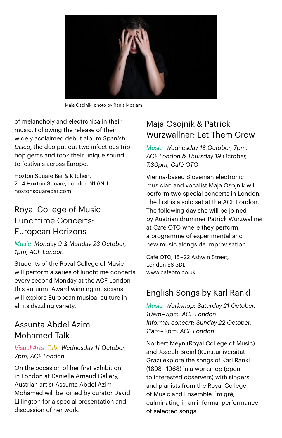

Maja Osojnik, photo by Rania Moslam

of melancholy and electronica in their music. Following the release of their widely acclaimed debut album *Spanish Disco*, the duo put out two infectious trip hop gems and took their unique sound to festivals across Europe.

Hoxton Square Bar & Kitchen, 2 – 4 Hoxton Square, London N1 6NU [hoxtonsquarebar.com](http://www.hoxtonsquarebar.com)

## Royal College of Music Lunchtime Concerts: European Horizons

*Music Monday 9 & Monday 23 October, 1pm, ACF London*

Students of the Royal College of Music will perform a series of lunchtime concerts every second Monday at the ACF London this autumn. Award winning musicians will explore European musical culture in all its dazzling variety.

#### Assunta Abdel Azim Mohamed Talk

#### *Visual Arts Talk Wednesday 11 October, 7pm, ACF London*

On the occasion of her first exhibition in London at Danielle Arnaud Gallery, Austrian artist Assunta Abdel Azim Mohamed will be joined by curator David Lillington for a special presentation and discussion of her work.

## Maja Osojnik & Patrick Wurzwallner: Let Them Grow

*Music Wednesday 18 October, 7pm, ACF London & Thursday 19 October, 7.30pm, Café OTO*

Vienna-based Slovenian electronic musician and vocalist Maja Osojnik will perform two special concerts in London. The first is a solo set at the ACF London. The following day she will be joined by Austrian drummer Patrick Wurzwallner at Café OTO where they perform a programme of experimental and new music alongside improvisation.

Café OTO, 18 – 22 Ashwin Street, London E8 3DI [www.cafeoto.co.uk](http://www.cafeoto.co.uk)

## English Songs by Karl Rankl

*Music Workshop: Saturday 21 October, 10am – 5pm, ACF London Informal concert: Sunday 22 October, 11am – 2pm, ACF London*

Norbert Meyn (Royal College of Music) and Joseph Breinl (Kunstuniversität Graz) explore the songs of Karl Rankl (1898 – 1968) in a workshop (open to interested observers) with singers and pianists from the Royal College of Music and Ensemble Émigré, culminating in an informal performance of selected songs.